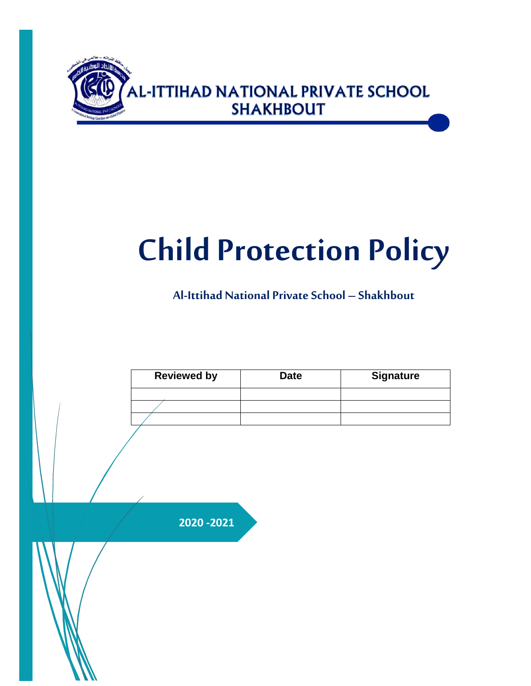

# **Child Protection Policy**

**Al-Ittihad National PrivateSchool – Shakhbout**

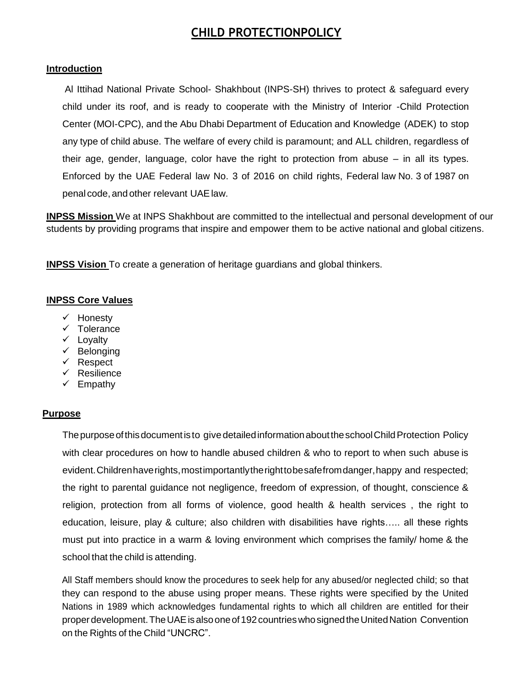# **CHILD PROTECTIONPOLICY**

#### **Introduction**

Al Ittihad National Private School- Shakhbout (INPS-SH) thrives to protect & safeguard every child under its roof, and is ready to cooperate with the Ministry of Interior -Child Protection Center (MOI-CPC), and the Abu Dhabi Department of Education and Knowledge (ADEK) to stop any type of child abuse. The welfare of every child is paramount; and ALL children, regardless of their age, gender, language, color have the right to protection from abuse – in all its types. Enforced by the UAE Federal law No. 3 of 2016 on child rights, Federal law No. 3 of 1987 on penal code, and other relevant UAElaw.

**INPSS Mission** We at INPS Shakhbout are committed to the intellectual and personal development of our students by providing programs that inspire and empower them to be active national and global citizens.

**INPSS Vision** To create a generation of heritage guardians and global thinkers.

#### **INPSS Core Values**

- $\checkmark$  Honesty
- $\checkmark$  Tolerance
- $\checkmark$  Lovalty
- $\checkmark$  Belonging
- $\checkmark$  Respect
- $\checkmark$  Resilience
- $\checkmark$  Empathy

#### **Purpose**

The purpose of this document is to give detailed information about the school Child Protection Policy with clear procedures on how to handle abused children & who to report to when such abuse is evident. Children have rights, most importantly the right to be safefrom danger, happy and respected; the right to parental guidance not negligence, freedom of expression, of thought, conscience & religion, protection from all forms of violence, good health & health services , the right to education, leisure, play & culture; also children with disabilities have rights….. all these rights must put into practice in a warm & loving environment which comprises the family/ home & the school that the child is attending.

All Staff members should know the procedures to seek help for any abused/or neglected child; so that they can respond to the abuse using proper means. These rights were specified by the United Nations in 1989 which acknowledges fundamental rights to which all children are entitled for their properdevelopment.TheUAEisalsooneof192countrieswhosignedtheUnitedNation Convention on the Rights of the Child "UNCRC".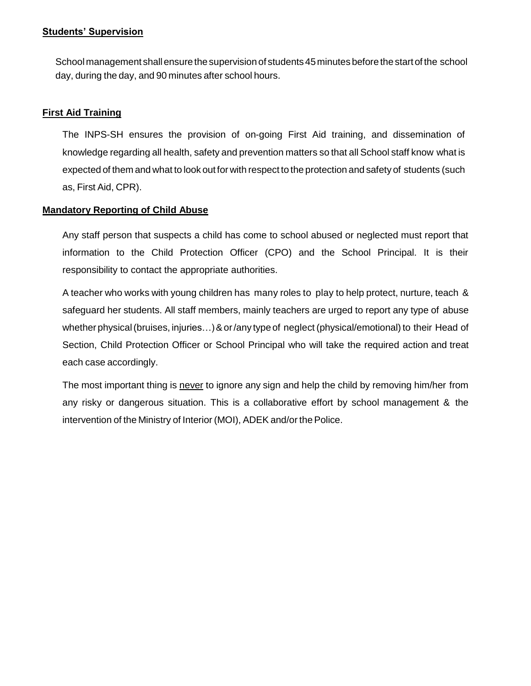#### **Students' Supervision**

School management shall ensure the supervision of students 45 minutes before the start of the school day, during the day, and 90 minutes after school hours.

#### **First Aid Training**

The INPS-SH ensures the provision of on-going First Aid training, and dissemination of knowledge regarding all health, safety and prevention matters so that all School staff know what is expected of them and what to look out for with respect to the protection and safety of students (such as, First Aid, CPR).

#### **Mandatory Reporting of Child Abuse**

Any staff person that suspects a child has come to school abused or neglected must report that information to the Child Protection Officer (CPO) and the School Principal. It is their responsibility to contact the appropriate authorities.

A teacher who works with young children has many roles to play to help protect, nurture, teach & safeguard her students. All staff members, mainly teachers are urged to report any type of abuse whether physical (bruises, injuries...) & or/any type of neglect (physical/emotional) to their Head of Section, Child Protection Officer or School Principal who will take the required action and treat each case accordingly.

The most important thing is never to ignore any sign and help the child by removing him/her from any risky or dangerous situation. This is a collaborative effort by school management & the intervention of the Ministry of Interior (MOI), ADEK and/or the Police.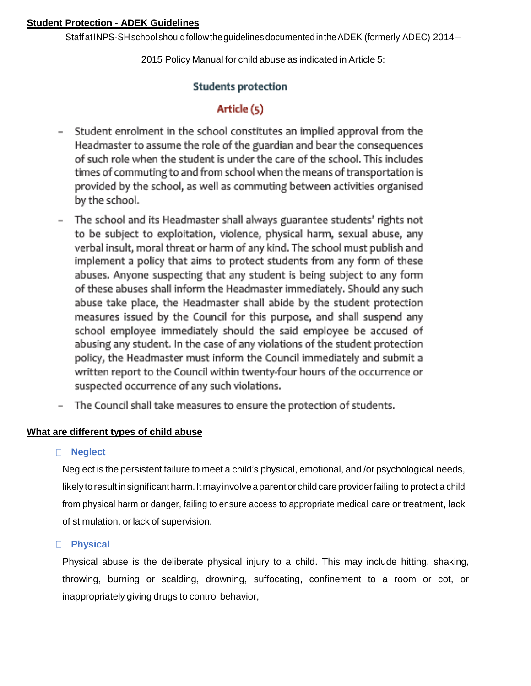#### **Student Protection - ADEK Guidelines**

Staff at INPS-SH school should follow the guidelines documented in the ADEK (formerly ADEC) 2014 –

2015 Policy Manual for child abuse as indicated in Article 5:

# **Students protection**

# Article (5)

- Student enrolment in the school constitutes an implied approval from the  $\overline{\phantom{0}}$ Headmaster to assume the role of the guardian and bear the consequences of such role when the student is under the care of the school. This includes times of commuting to and from school when the means of transportation is provided by the school, as well as commuting between activities organised by the school.
- The school and its Headmaster shall always guarantee students' rights not  $\overline{a}$ to be subject to exploitation, violence, physical harm, sexual abuse, any verbal insult, moral threat or harm of any kind. The school must publish and implement a policy that aims to protect students from any form of these abuses. Anyone suspecting that any student is being subject to any form of these abuses shall inform the Headmaster immediately. Should any such abuse take place, the Headmaster shall abide by the student protection measures issued by the Council for this purpose, and shall suspend any school employee immediately should the said employee be accused of abusing any student. In the case of any violations of the student protection policy, the Headmaster must inform the Council immediately and submit a written report to the Council within twenty-four hours of the occurrence or suspected occurrence of any such violations.
- The Council shall take measures to ensure the protection of students.

# **What are different types of child abuse**

#### **Neglect**

Neglect is the persistent failure to meet a child's physical, emotional, and /or psychological needs, likely to result in significant harm. It may involve a parent or child care provider failing to protect a child from physical harm or danger, failing to ensure access to appropriate medical care or treatment, lack of stimulation, or lack of supervision.

# **Physical**

Physical abuse is the deliberate physical injury to a child. This may include hitting, shaking, throwing, burning or scalding, drowning, suffocating, confinement to a room or cot, or inappropriately giving drugs to control behavior,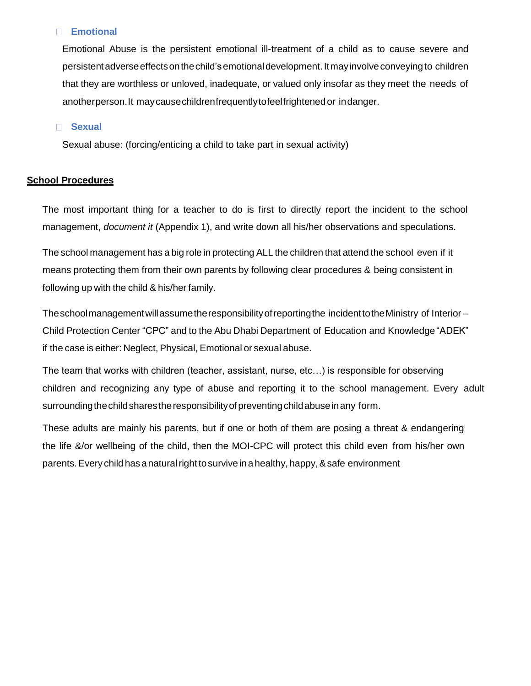#### **Emotional**

Emotional Abuse is the persistent emotional ill-treatment of a child as to cause severe and persistentadverseeffectsonthechild'semotionaldevelopment.Itmayinvolveconveying to children that they are worthless or unloved, inadequate, or valued only insofar as they meet the needs of anotherperson.It maycausechildrenfrequentlytofeelfrightened or indanger.

#### **Sexual**

Sexual abuse: (forcing/enticing a child to take part in sexual activity)

#### **School Procedures**

The most important thing for a teacher to do is first to directly report the incident to the school management, *document it* (Appendix 1), and write down all his/her observations and speculations.

The school management has a big role in protecting ALL the children that attend the school even if it means protecting them from their own parents by following clear procedures & being consistent in following up with the child & his/her family.

Theschoolmanagementwillassumetheresponsibilityofreportingthe incidenttotheMinistry of Interior – Child Protection Center "CPC" and to the Abu Dhabi Department of Education and Knowledge"ADEK" if the case is either: Neglect, Physical, Emotional or sexual abuse.

The team that works with children (teacher, assistant, nurse, etc…) is responsible for observing children and recognizing any type of abuse and reporting it to the school management. Every adult surrounding the child shares the responsibility of preventing child abuse in any form.

These adults are mainly his parents, but if one or both of them are posing a threat & endangering the life &/or wellbeing of the child, then the MOI-CPC will protect this child even from his/her own parents. Every child has a natural right to survive in a healthy, happy, & safe environment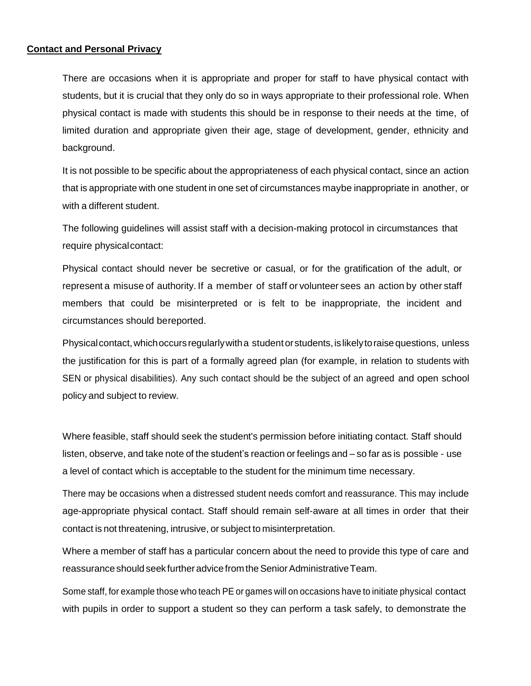#### **Contact and Personal Privacy**

There are occasions when it is appropriate and proper for staff to have physical contact with students, but it is crucial that they only do so in ways appropriate to their professional role. When physical contact is made with students this should be in response to their needs at the time, of limited duration and appropriate given their age, stage of development, gender, ethnicity and background.

It is not possible to be specific about the appropriateness of each physical contact, since an action that is appropriate with one student in one set of circumstances maybe inappropriate in another, or with a different student.

The following guidelines will assist staff with a decision-making protocol in circumstances that require physical contact:

Physical contact should never be secretive or casual, or for the gratification of the adult, or represent a misuse of authority. If a member of staff or volunteer sees an action by other staff members that could be misinterpreted or is felt to be inappropriate, the incident and circumstances should bereported.

Physical contact, which occurs regularly with a student or students, is likely to raise questions, unless the justification for this is part of a formally agreed plan (for example, in relation to students with SEN or physical disabilities). Any such contact should be the subject of an agreed and open school policy and subject to review.

Where feasible, staff should seek the student's permission before initiating contact. Staff should listen, observe, and take note of the student's reaction or feelings and – so far as is possible - use a level of contact which is acceptable to the student for the minimum time necessary.

There may be occasions when a distressed student needs comfort and reassurance. This may include age-appropriate physical contact. Staff should remain self-aware at all times in order that their contact is not threatening, intrusive, or subject to misinterpretation.

Where a member of staff has a particular concern about the need to provide this type of care and reassurance should seek further advice from the Senior Administrative Team.

Some staff, for example those who teach PE or games will on occasions have to initiate physical contact with pupils in order to support a student so they can perform a task safely, to demonstrate the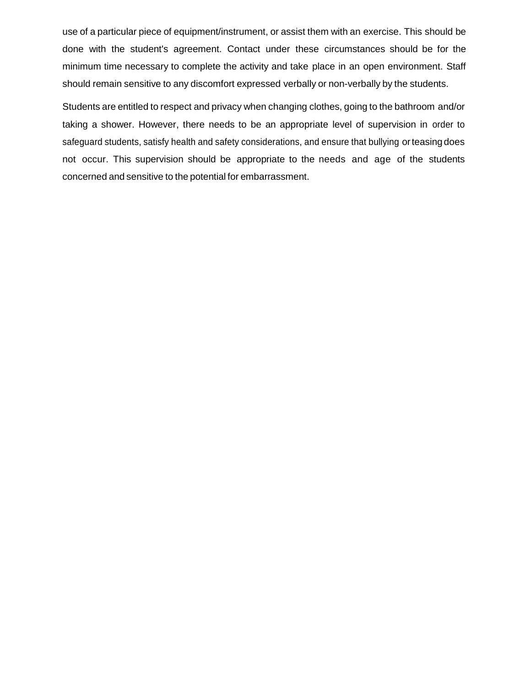use of a particular piece of equipment/instrument, or assist them with an exercise. This should be done with the student's agreement. Contact under these circumstances should be for the minimum time necessary to complete the activity and take place in an open environment. Staff should remain sensitive to any discomfort expressed verbally or non-verbally by the students.

Students are entitled to respect and privacy when changing clothes, going to the bathroom and/or taking a shower. However, there needs to be an appropriate level of supervision in order to safeguard students, satisfy health and safety considerations, and ensure that bullying orteasingdoes not occur. This supervision should be appropriate to the needs and age of the students concerned and sensitive to the potential for embarrassment.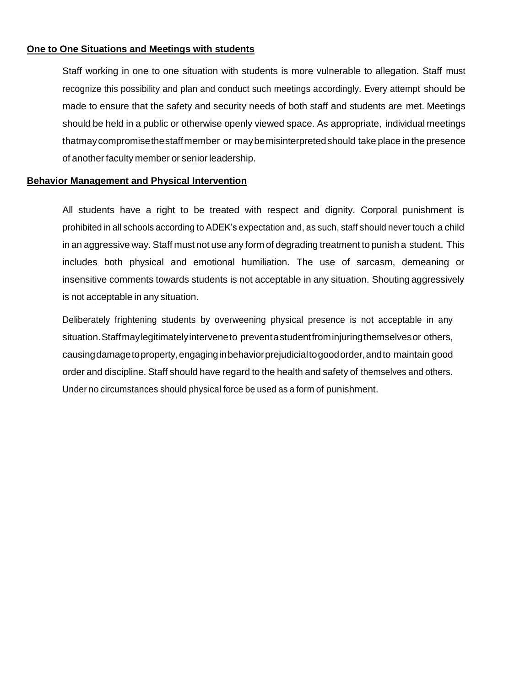#### **One to One Situations and Meetings with students**

Staff working in one to one situation with students is more vulnerable to allegation. Staff must recognize this possibility and plan and conduct such meetings accordingly. Every attempt should be made to ensure that the safety and security needs of both staff and students are met. Meetings should be held in a public or otherwise openly viewed space. As appropriate, individual meetings thatmaycompromisethestaffmember or maybemisinterpretedshould take place in the presence of another faculty member or senior leadership.

#### **Behavior Management and Physical Intervention**

All students have a right to be treated with respect and dignity. Corporal punishment is prohibited in all schools according to ADEK's expectation and, as such, staff should never touch a child in an aggressive way. Staff must not use any form of degrading treatment to punish a student. This includes both physical and emotional humiliation. The use of sarcasm, demeaning or insensitive comments towards students is not acceptable in any situation. Shouting aggressively is not acceptable in any situation.

Deliberately frightening students by overweening physical presence is not acceptable in any situation.Staffmaylegitimatelyinterveneto preventastudentfrominjuringthemselvesor others, causingdamagetoproperty,engaginginbehaviorprejudicialtogoodorder,andto maintain good order and discipline. Staff should have regard to the health and safety of themselves and others. Under no circumstances should physical force be used as a form of punishment.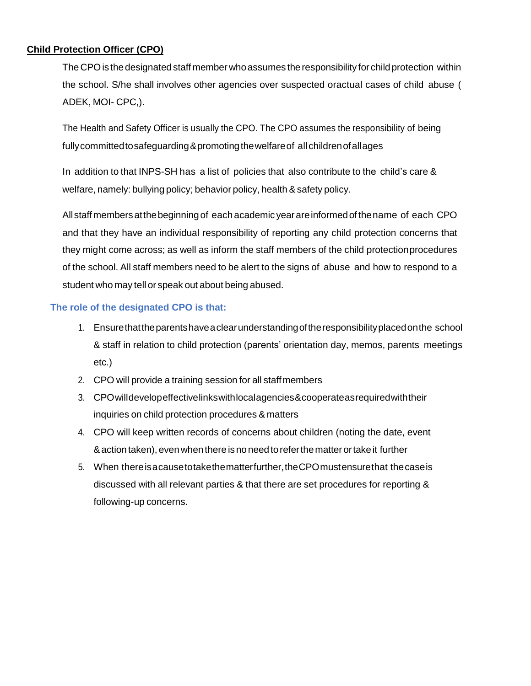# **Child Protection Officer (CPO)**

The CPO is the designated staff member who assumes the responsibility for child protection within the school. S/he shall involves other agencies over suspected oractual cases of child abuse ( ADEK, MOI- CPC,).

The Health and Safety Officer is usually the CPO. The CPO assumes the responsibility of being fullycommittedtosafeguarding&promotingthewelfareof allchildrenofallages

In addition to that INPS-SH has a list of policies that also contribute to the child's care & welfare, namely: bullying policy; behavior policy, health & safety policy.

Allstaffmembersatthebeginningof eachacademic yearareinformedofthename of each CPO and that they have an individual responsibility of reporting any child protection concerns that they might come across; as well as inform the staff members of the child protectionprocedures of the school. All staff members need to be alert to the signs of abuse and how to respond to a student who may tell or speak out about being abused.

#### **The role of the designated CPO is that:**

- 1. Ensurethattheparentshaveaclearunderstandingoftheresponsibilityplacedonthe school & staff in relation to child protection (parents' orientation day, memos, parents meetings etc.)
- 2. CPO will provide a training session for all staffmembers
- 3. CPOwilldevelopeffectivelinkswithlocalagencies&cooperateasrequiredwiththeir inquiries on child protection procedures & matters
- 4. CPO will keep written records of concerns about children (noting the date, event &action taken), evenwhenthere isno needtoreferthematter ortake it further
- 5. When thereisacausetotakethematterfurther,theCPOmustensurethat thecaseis discussed with all relevant parties & that there are set procedures for reporting & following-up concerns.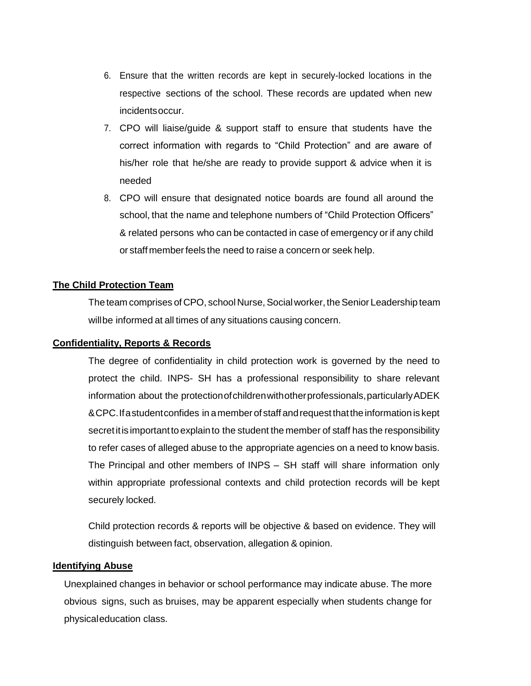- 6. Ensure that the written records are kept in securely-locked locations in the respective sections of the school. These records are updated when new incidentsoccur.
- 7. CPO will liaise/guide & support staff to ensure that students have the correct information with regards to "Child Protection" and are aware of his/her role that he/she are ready to provide support & advice when it is needed
- 8. CPO will ensure that designated notice boards are found all around the school, that the name and telephone numbers of "Child Protection Officers" & related persons who can be contacted in case of emergency or if any child or staff memberfeels the need to raise a concern or seek help.

#### **The Child Protection Team**

The team comprises of CPO, school Nurse, Social worker, the Senior Leadership team willbe informed at all times of any situations causing concern.

#### **Confidentiality, Reports & Records**

The degree of confidentiality in child protection work is governed by the need to protect the child. INPS- SH has a professional responsibility to share relevant information about the protection of children with other professionals, particularly ADEK &CPC.Ifastudentconfides in amember of staff andrequestthattheinformation is kept secretitis importantto explainto the student the member of staff has the responsibility to refer cases of alleged abuse to the appropriate agencies on a need to know basis. The Principal and other members of INPS – SH staff will share information only within appropriate professional contexts and child protection records will be kept securely locked.

Child protection records & reports will be objective & based on evidence. They will distinguish between fact, observation, allegation & opinion.

#### **Identifying Abuse**

Unexplained changes in behavior or school performance may indicate abuse. The more obvious signs, such as bruises, may be apparent especially when students change for physicaleducation class.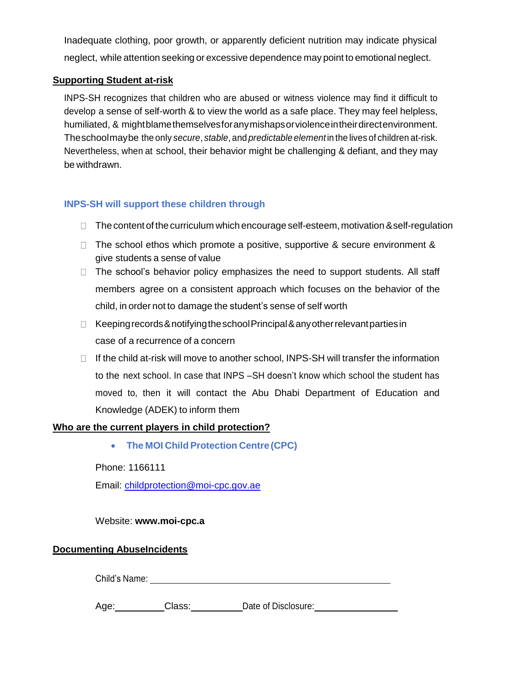Inadequate clothing, poor growth, or apparently deficient nutrition may indicate physical neglect, while attention seeking or excessive dependence may point to emotional neglect.

#### **Supporting Student at-risk**

INPS-SH recognizes that children who are abused or witness violence may find it difficult to develop a sense of self-worth & to view the world as a safe place. They may feel helpless, humiliated, & mightblamethemselvesforanymishapsorviolenceintheirdirectenvironment. Theschoolmaybe the only *secure*, *stable*, and *predictable element*in the lives of children at-risk. Nevertheless, when at school, their behavior might be challenging & defiant, and they may be withdrawn.

# **INPS-SH will support these children through**

- $\Box$  The content of the curriculum which encourage self-esteem, motivation & self-regulation
- $\Box$  The school ethos which promote a positive, supportive & secure environment & give students a sense of value
- $\Box$  The school's behavior policy emphasizes the need to support students. All staff members agree on a consistent approach which focuses on the behavior of the child, in order not to damage the student's sense of self worth
- $\Box$  Keeping records & notifying the school Principal & any other relevant parties in case of a recurrence of a concern
- $\Box$  If the child at-risk will move to another school, INPS-SH will transfer the information to the next school. In case that INPS –SH doesn't know which school the student has moved to, then it will contact the Abu Dhabi Department of Education and Knowledge (ADEK) to inform them

#### **Who are the current players in child protection?**

**The MOI ChildProtection Centre (CPC)**

Phone: 1166111

Email: [childprotection@moi-cpc.gov.ae](mailto:childprotection@moi-cpc.gov.ae)

#### Website: **[www.moi-cpc.a](http://www.moi-cpc.a/)**

#### **Documenting AbuseIncidents**

Child's Name:

Age: Class: Date of Disclosure: